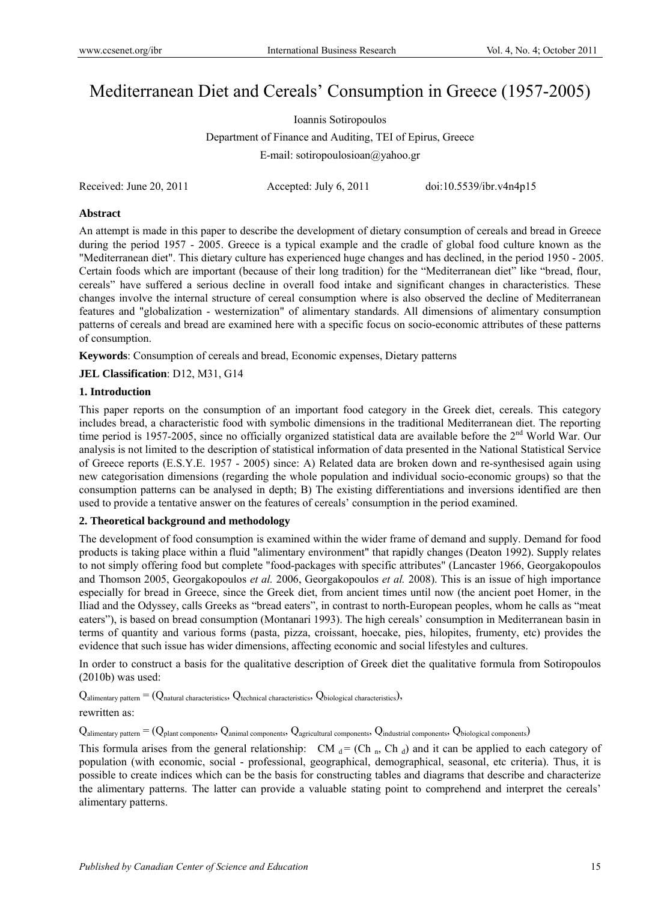# Mediterranean Diet and Cereals' Consumption in Greece (1957-2005)

Ioannis Sotiropoulos Department of Finance and Auditing, TEI of Epirus, Greece E-mail: sotiropoulosioan@yahoo.gr

Received: June 20, 2011 Accepted: July 6, 2011 doi:10.5539/ibr.v4n4p15

## **Abstract**

An attempt is made in this paper to describe the development of dietary consumption of cereals and bread in Greece during the period 1957 - 2005. Greece is a typical example and the cradle of global food culture known as the "Mediterranean diet". This dietary culture has experienced huge changes and has declined, in the period 1950 - 2005. Certain foods which are important (because of their long tradition) for the "Mediterranean diet" like "bread, flour, cereals" have suffered a serious decline in overall food intake and significant changes in characteristics. These changes involve the internal structure of cereal consumption where is also observed the decline of Mediterranean features and "globalization - westernization" of alimentary standards. All dimensions of alimentary consumption patterns of cereals and bread are examined here with a specific focus on socio-economic attributes of these patterns of consumption.

**Keywords**: Consumption of cereals and bread, Economic expenses, Dietary patterns

**JEL Classification**: D12, M31, G14

# **1. Introduction**

This paper reports on the consumption of an important food category in the Greek diet, cereals. This category includes bread, a characteristic food with symbolic dimensions in the traditional Mediterranean diet. The reporting time period is 1957-2005, since no officially organized statistical data are available before the 2<sup>nd</sup> World War. Our analysis is not limited to the description of statistical information of data presented in the National Statistical Service of Greece reports (E.S.Y.E. 1957 - 2005) since: A) Related data are broken down and re-synthesised again using new categorisation dimensions (regarding the whole population and individual socio-economic groups) so that the consumption patterns can be analysed in depth; B) The existing differentiations and inversions identified are then used to provide a tentative answer on the features of cereals' consumption in the period examined.

## **2. Theoretical background and methodology**

The development of food consumption is examined within the wider frame of demand and supply. Demand for food products is taking place within a fluid "alimentary environment" that rapidly changes (Deaton 1992). Supply relates to not simply offering food but complete "food-packages with specific attributes" (Lancaster 1966, Georgakopoulos and Thomson 2005, Georgakopoulos *et al.* 2006, Georgakopoulos *et al.* 2008). This is an issue of high importance especially for bread in Greece, since the Greek diet, from ancient times until now (the ancient poet Homer, in the Iliad and the Odyssey, calls Greeks as "bread eaters", in contrast to north-European peoples, whom he calls as "meat eaters"), is based on bread consumption (Montanari 1993). The high cereals' consumption in Mediterranean basin in terms of quantity and various forms (pasta, pizza, croissant, hoecake, pies, hilopites, frumenty, etc) provides the evidence that such issue has wider dimensions, affecting economic and social lifestyles and cultures.

In order to construct a basis for the qualitative description of Greek diet the qualitative formula from Sotiropoulos (2010b) was used:

 $Q_{\text{alimentary pattern}} = (Q_{\text{natural characteristics}}, Q_{\text{technical characteristics}}, Q_{\text{biological characteristics}}),$ 

rewritten as:

 $Q_{\text{alimentary pattern}} = (Q_{\text{plant components}}, Q_{\text{animal components}}, Q_{\text{agricultural components}}, Q_{\text{industrial components}}, Q_{\text{biological components}})$ 

This formula arises from the general relationship: CM  $_d = (Ch_n, Ch_d)$  and it can be applied to each category of population (with economic, social - professional, geographical, demographical, seasonal, etc criteria). Thus, it is possible to create indices which can be the basis for constructing tables and diagrams that describe and characterize the alimentary patterns. The latter can provide a valuable stating point to comprehend and interpret the cereals' alimentary patterns.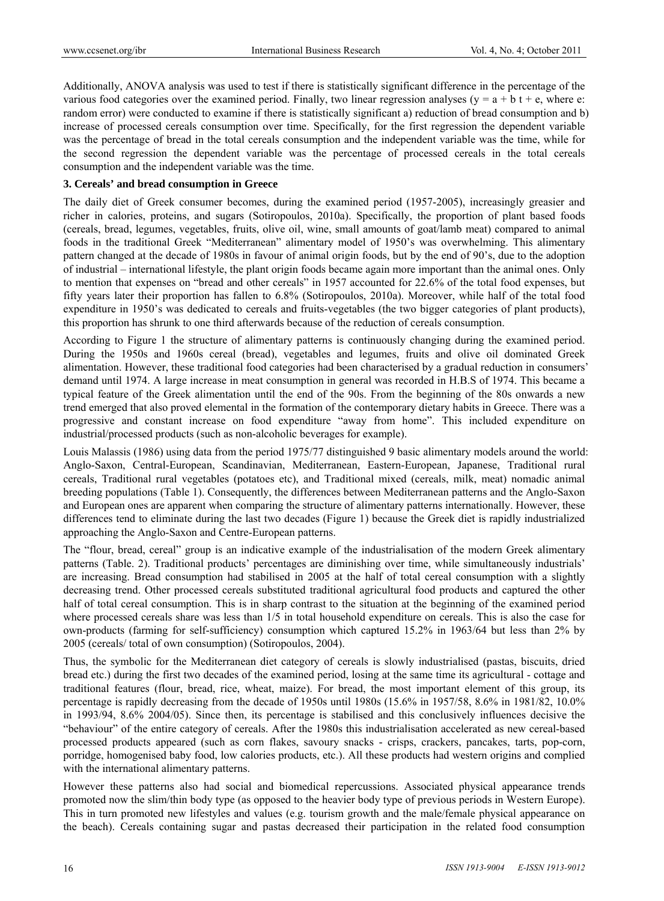Additionally, ANOVA analysis was used to test if there is statistically significant difference in the percentage of the various food categories over the examined period. Finally, two linear regression analyses ( $y = a + b t + e$ , where e: random error) were conducted to examine if there is statistically significant a) reduction of bread consumption and b) increase of processed cereals consumption over time. Specifically, for the first regression the dependent variable was the percentage of bread in the total cereals consumption and the independent variable was the time, while for the second regression the dependent variable was the percentage of processed cereals in the total cereals consumption and the independent variable was the time.

#### **3. Cereals' and bread consumption in Greece**

The daily diet of Greek consumer becomes, during the examined period (1957-2005), increasingly greasier and richer in calories, proteins, and sugars (Sotiropoulos, 2010a). Specifically, the proportion of plant based foods (cereals, bread, legumes, vegetables, fruits, olive oil, wine, small amounts of goat/lamb meat) compared to animal foods in the traditional Greek "Mediterranean" alimentary model of 1950's was overwhelming. This alimentary pattern changed at the decade of 1980s in favour of animal origin foods, but by the end of 90's, due to the adoption of industrial – international lifestyle, the plant origin foods became again more important than the animal ones. Only to mention that expenses on "bread and other cereals" in 1957 accounted for 22.6% of the total food expenses, but fifty years later their proportion has fallen to 6.8% (Sotiropoulos, 2010a). Moreover, while half of the total food expenditure in 1950's was dedicated to cereals and fruits-vegetables (the two bigger categories of plant products), this proportion has shrunk to one third afterwards because of the reduction of cereals consumption.

According to Figure 1 the structure of alimentary patterns is continuously changing during the examined period. During the 1950s and 1960s cereal (bread), vegetables and legumes, fruits and olive oil dominated Greek alimentation. However, these traditional food categories had been characterised by a gradual reduction in consumers' demand until 1974. A large increase in meat consumption in general was recorded in H.B.S of 1974. This became a typical feature of the Greek alimentation until the end of the 90s. From the beginning of the 80s onwards a new trend emerged that also proved elemental in the formation of the contemporary dietary habits in Greece. There was a progressive and constant increase on food expenditure "away from home". This included expenditure on industrial/processed products (such as non-alcoholic beverages for example).

Louis Malassis (1986) using data from the period 1975/77 distinguished 9 basic alimentary models around the world: Anglo-Saxon, Central-European, Scandinavian, Mediterranean, Eastern-European, Japanese, Traditional rural cereals, Traditional rural vegetables (potatoes etc), and Traditional mixed (cereals, milk, meat) nomadic animal breeding populations (Table 1). Consequently, the differences between Mediterranean patterns and the Anglo-Saxon and European ones are apparent when comparing the structure of alimentary patterns internationally. However, these differences tend to eliminate during the last two decades (Figure 1) because the Greek diet is rapidly industrialized approaching the Anglo-Saxon and Centre-European patterns.

The "flour, bread, cereal" group is an indicative example of the industrialisation of the modern Greek alimentary patterns (Table. 2). Traditional products' percentages are diminishing over time, while simultaneously industrials' are increasing. Bread consumption had stabilised in 2005 at the half of total cereal consumption with a slightly decreasing trend. Other processed cereals substituted traditional agricultural food products and captured the other half of total cereal consumption. This is in sharp contrast to the situation at the beginning of the examined period where processed cereals share was less than 1/5 in total household expenditure on cereals. This is also the case for own-products (farming for self-sufficiency) consumption which captured 15.2% in 1963/64 but less than 2% by 2005 (cereals/ total of own consumption) (Sotiropoulos, 2004).

Thus, the symbolic for the Mediterranean diet category of cereals is slowly industrialised (pastas, biscuits, dried bread etc.) during the first two decades of the examined period, losing at the same time its agricultural - cottage and traditional features (flour, bread, rice, wheat, maize). For bread, the most important element of this group, its percentage is rapidly decreasing from the decade of 1950s until 1980s (15.6% in 1957/58, 8.6% in 1981/82, 10.0% in 1993/94, 8.6% 2004/05). Since then, its percentage is stabilised and this conclusively influences decisive the "behaviour" of the entire category of cereals. After the 1980s this industrialisation accelerated as new cereal-based processed products appeared (such as corn flakes, savoury snacks - crisps, crackers, pancakes, tarts, pop-corn, porridge, homogenised baby food, low calories products, etc.). All these products had western origins and complied with the international alimentary patterns.

However these patterns also had social and biomedical repercussions. Associated physical appearance trends promoted now the slim/thin body type (as opposed to the heavier body type of previous periods in Western Europe). This in turn promoted new lifestyles and values (e.g. tourism growth and the male/female physical appearance on the beach). Cereals containing sugar and pastas decreased their participation in the related food consumption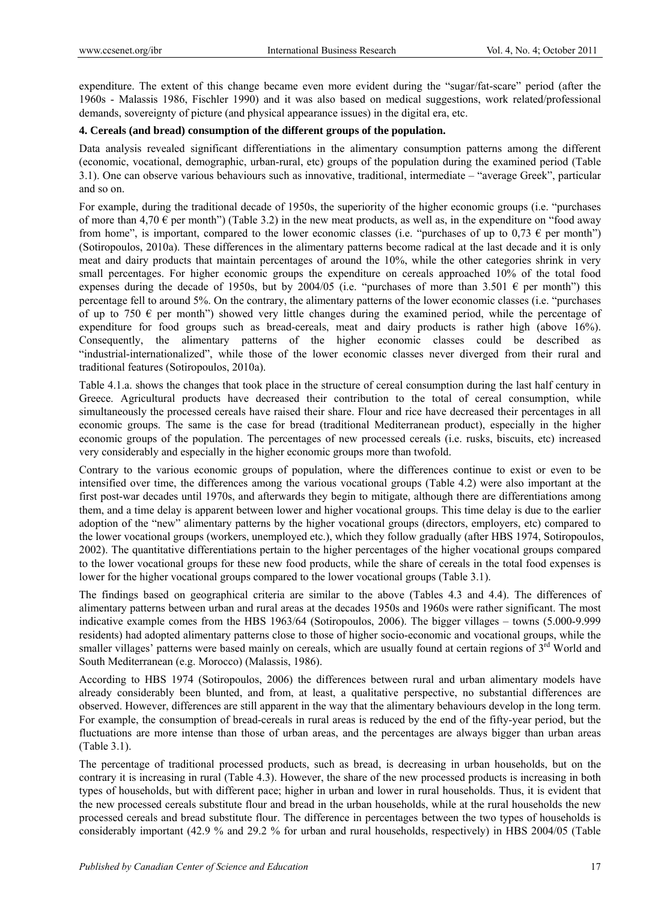expenditure. The extent of this change became even more evident during the "sugar/fat-scare" period (after the 1960s - Malassis 1986, Fischler 1990) and it was also based on medical suggestions, work related/professional demands, sovereignty of picture (and physical appearance issues) in the digital era, etc.

# **4. Cereals (and bread) consumption of the different groups of the population.**

Data analysis revealed significant differentiations in the alimentary consumption patterns among the different (economic, vocational, demographic, urban-rural, etc) groups of the population during the examined period (Table 3.1). One can observe various behaviours such as innovative, traditional, intermediate – "average Greek", particular and so on.

For example, during the traditional decade of 1950s, the superiority of the higher economic groups (i.e. "purchases of more than 4,70  $\in$  per month") (Table 3.2) in the new meat products, as well as, in the expenditure on "food away from home", is important, compared to the lower economic classes (i.e. "purchases of up to 0,73  $\epsilon$  per month") (Sotiropoulos, 2010a). These differences in the alimentary patterns become radical at the last decade and it is only meat and dairy products that maintain percentages of around the 10%, while the other categories shrink in very small percentages. For higher economic groups the expenditure on cereals approached 10% of the total food expenses during the decade of 1950s, but by 2004/05 (i.e. "purchases of more than 3.501  $\epsilon$  per month") this percentage fell to around 5%. On the contrary, the alimentary patterns of the lower economic classes (i.e. "purchases of up to 750  $\epsilon$  per month") showed very little changes during the examined period, while the percentage of expenditure for food groups such as bread-cereals, meat and dairy products is rather high (above 16%). Consequently, the alimentary patterns of the higher economic classes could be described as "industrial-internationalized", while those of the lower economic classes never diverged from their rural and traditional features (Sotiropoulos, 2010a).

Table 4.1.a. shows the changes that took place in the structure of cereal consumption during the last half century in Greece. Agricultural products have decreased their contribution to the total of cereal consumption, while simultaneously the processed cereals have raised their share. Flour and rice have decreased their percentages in all economic groups. The same is the case for bread (traditional Mediterranean product), especially in the higher economic groups of the population. The percentages of new processed cereals (i.e. rusks, biscuits, etc) increased very considerably and especially in the higher economic groups more than twofold.

Contrary to the various economic groups of population, where the differences continue to exist or even to be intensified over time, the differences among the various vocational groups (Table 4.2) were also important at the first post-war decades until 1970s, and afterwards they begin to mitigate, although there are differentiations among them, and a time delay is apparent between lower and higher vocational groups. This time delay is due to the earlier adoption of the "new" alimentary patterns by the higher vocational groups (directors, employers, etc) compared to the lower vocational groups (workers, unemployed etc.), which they follow gradually (after HBS 1974, Sotiropoulos, 2002). The quantitative differentiations pertain to the higher percentages of the higher vocational groups compared to the lower vocational groups for these new food products, while the share of cereals in the total food expenses is lower for the higher vocational groups compared to the lower vocational groups (Table 3.1).

The findings based on geographical criteria are similar to the above (Tables 4.3 and 4.4). The differences of alimentary patterns between urban and rural areas at the decades 1950s and 1960s were rather significant. The most indicative example comes from the HBS 1963/64 (Sotiropoulos, 2006). The bigger villages – towns (5.000-9.999 residents) had adopted alimentary patterns close to those of higher socio-economic and vocational groups, while the smaller villages' patterns were based mainly on cereals, which are usually found at certain regions of 3<sup>rd</sup> World and South Mediterranean (e.g. Morocco) (Malassis, 1986).

According to HBS 1974 (Sotiropoulos, 2006) the differences between rural and urban alimentary models have already considerably been blunted, and from, at least, a qualitative perspective, no substantial differences are observed. However, differences are still apparent in the way that the alimentary behaviours develop in the long term. For example, the consumption of bread-cereals in rural areas is reduced by the end of the fifty-year period, but the fluctuations are more intense than those of urban areas, and the percentages are always bigger than urban areas (Table 3.1).

The percentage of traditional processed products, such as bread, is decreasing in urban households, but on the contrary it is increasing in rural (Table 4.3). However, the share of the new processed products is increasing in both types of households, but with different pace; higher in urban and lower in rural households. Thus, it is evident that the new processed cereals substitute flour and bread in the urban households, while at the rural households the new processed cereals and bread substitute flour. The difference in percentages between the two types of households is considerably important (42.9 % and 29.2 % for urban and rural households, respectively) in HBS 2004/05 (Table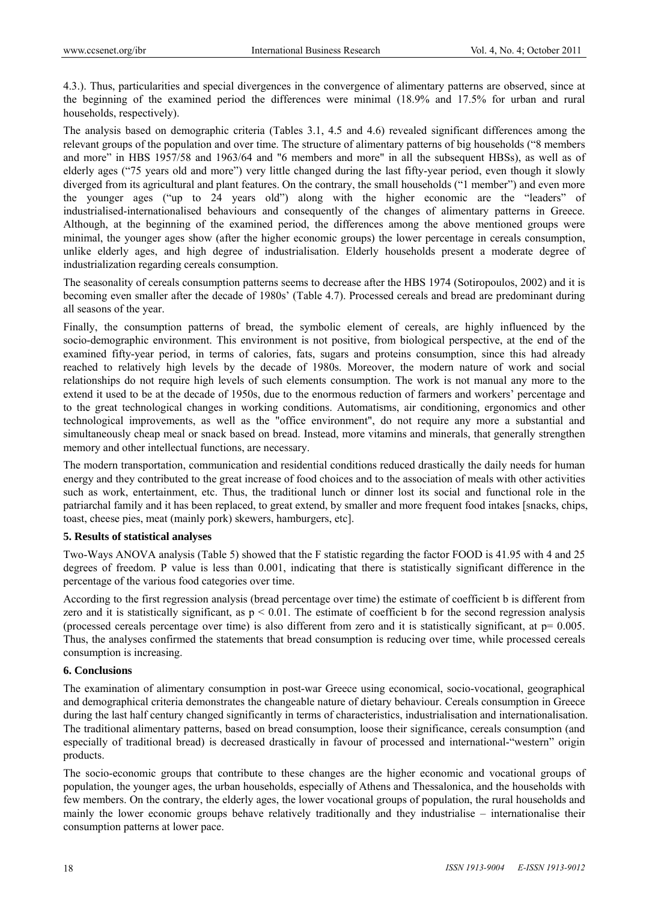4.3.). Thus, particularities and special divergences in the convergence of alimentary patterns are observed, since at the beginning of the examined period the differences were minimal (18.9% and 17.5% for urban and rural households, respectively).

The analysis based on demographic criteria (Tables 3.1, 4.5 and 4.6) revealed significant differences among the relevant groups of the population and over time. The structure of alimentary patterns of big households ("8 members and more" in HBS 1957/58 and 1963/64 and "6 members and more" in all the subsequent HBSs), as well as of elderly ages ("75 years old and more") very little changed during the last fifty-year period, even though it slowly diverged from its agricultural and plant features. On the contrary, the small households ("1 member") and even more the younger ages ("up to 24 years old") along with the higher economic are the "leaders" of industrialised-internationalised behaviours and consequently of the changes of alimentary patterns in Greece. Although, at the beginning of the examined period, the differences among the above mentioned groups were minimal, the younger ages show (after the higher economic groups) the lower percentage in cereals consumption, unlike elderly ages, and high degree of industrialisation. Elderly households present a moderate degree of industrialization regarding cereals consumption.

The seasonality of cereals consumption patterns seems to decrease after the HBS 1974 (Sotiropoulos, 2002) and it is becoming even smaller after the decade of 1980s' (Table 4.7). Processed cereals and bread are predominant during all seasons of the year.

Finally, the consumption patterns of bread, the symbolic element of cereals, are highly influenced by the socio-demographic environment. This environment is not positive, from biological perspective, at the end of the examined fifty-year period, in terms of calories, fats, sugars and proteins consumption, since this had already reached to relatively high levels by the decade of 1980s. Moreover, the modern nature of work and social relationships do not require high levels of such elements consumption. The work is not manual any more to the extend it used to be at the decade of 1950s, due to the enormous reduction of farmers and workers' percentage and to the great technological changes in working conditions. Automatisms, air conditioning, ergonomics and other technological improvements, as well as the "office environment", do not require any more a substantial and simultaneously cheap meal or snack based on bread. Instead, more vitamins and minerals, that generally strengthen memory and other intellectual functions, are necessary.

The modern transportation, communication and residential conditions reduced drastically the daily needs for human energy and they contributed to the great increase of food choices and to the association of meals with other activities such as work, entertainment, etc. Thus, the traditional lunch or dinner lost its social and functional role in the patriarchal family and it has been replaced, to great extend, by smaller and more frequent food intakes [snacks, chips, toast, cheese pies, meat (mainly pork) skewers, hamburgers, etc].

## **5. Results of statistical analyses**

Two-Ways ANOVA analysis (Table 5) showed that the F statistic regarding the factor FOOD is 41.95 with 4 and 25 degrees of freedom. P value is less than 0.001, indicating that there is statistically significant difference in the percentage of the various food categories over time.

According to the first regression analysis (bread percentage over time) the estimate of coefficient b is different from zero and it is statistically significant, as  $p < 0.01$ . The estimate of coefficient b for the second regression analysis (processed cereals percentage over time) is also different from zero and it is statistically significant, at  $p = 0.005$ . Thus, the analyses confirmed the statements that bread consumption is reducing over time, while processed cereals consumption is increasing.

## **6. Conclusions**

The examination of alimentary consumption in post-war Greece using economical, socio-vocational, geographical and demographical criteria demonstrates the changeable nature of dietary behaviour. Cereals consumption in Greece during the last half century changed significantly in terms of characteristics, industrialisation and internationalisation. The traditional alimentary patterns, based on bread consumption, loose their significance, cereals consumption (and especially of traditional bread) is decreased drastically in favour of processed and international-"western" origin products.

The socio-economic groups that contribute to these changes are the higher economic and vocational groups of population, the younger ages, the urban households, especially of Athens and Thessalonica, and the households with few members. On the contrary, the elderly ages, the lower vocational groups of population, the rural households and mainly the lower economic groups behave relatively traditionally and they industrialise – internationalise their consumption patterns at lower pace.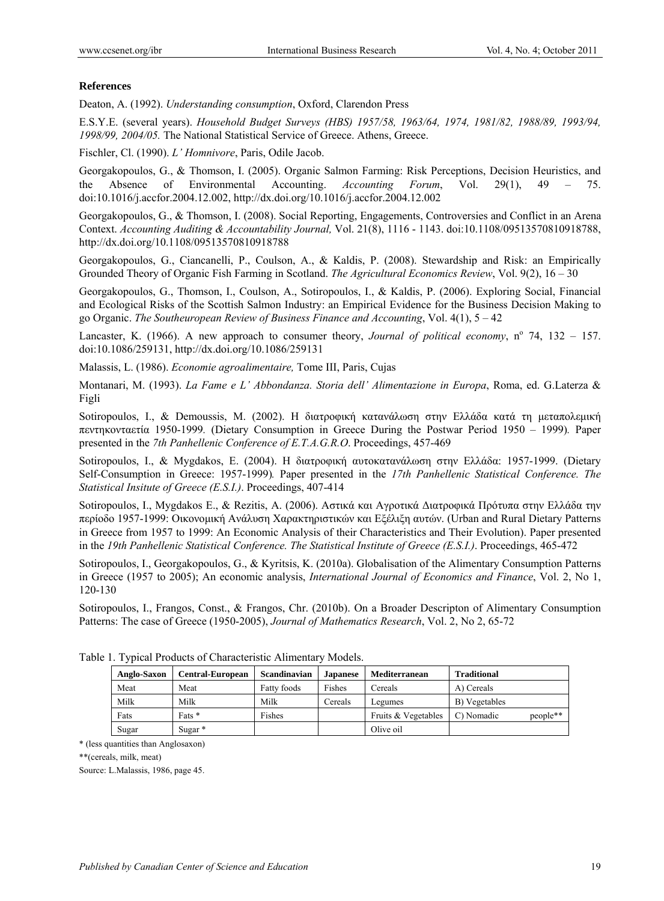## **References**

Deaton, A. (1992). *Understanding consumption*, Oxford, Clarendon Press

E.S.Y.E. (several years). *Household Budget Surveys (HBS) 1957/58, 1963/64, 1974, 1981/82, 1988/89, 1993/94, 1998/99, 2004/05.* The National Statistical Service of Greece. Athens, Greece.

Fischler, Cl. (1990). *L' Homnivore*, Paris, Odile Jacob.

Georgakopoulos, G., & Thomson, I. (2005). Organic Salmon Farming: Risk Perceptions, Decision Heuristics, and the Absence of Environmental Accounting. *Accounting Forum*, Vol. 29(1), 49 – 75. doi:10.1016/j.accfor.2004.12.002, http://dx.doi.org/10.1016/j.accfor.2004.12.002

Georgakopoulos, G., & Thomson, I. (2008). Social Reporting, Engagements, Controversies and Conflict in an Arena Context. *Accounting Auditing & Accountability Journal,* Vol. 21(8), 1116 - 1143. doi:10.1108/09513570810918788, http://dx.doi.org/10.1108/09513570810918788

Georgakopoulos, G., Ciancanelli, P., Coulson, A., & Kaldis, P. (2008). Stewardship and Risk: an Empirically Grounded Theory of Organic Fish Farming in Scotland. *The Agricultural Economics Review*, Vol. 9(2), 16 – 30

Georgakopoulos, G., Thomson, I., Coulson, A., Sotiropoulos, I., & Kaldis, P. (2006). Exploring Social, Financial and Ecological Risks of the Scottish Salmon Industry: an Empirical Evidence for the Business Decision Making to go Organic. *The Southeuropean Review of Business Finance and Accounting*, Vol. 4(1), 5 – 42

Lancaster, K. (1966). A new approach to consumer theory, *Journal of political economy*,  $n^{\circ}$  74, 132 – 157. doi:10.1086/259131, http://dx.doi.org/10.1086/259131

Malassis, L. (1986). *Economie agroalimentaire,* Tome III, Paris, Cujas

Montanari, M. (1993). *La Fame e L' Abbondanza. Storia dell' Alimentazione in Europa*, Roma, ed. G.Laterza & Figli

Sotiropoulos, I., & Demoussis, M. (2002). Η διατροφική κατανάλωση στην Ελλάδα κατά τη μεταπολεμική πεντηκονταετία 1950-1999*.* (Dietary Consumption in Greece During the Postwar Period 1950 – 1999)*.* Paper presented in the *7th Panhellenic Conference of E.T.A.G.R.O*. Proceedings, 457-469

Sotiropoulos, I., & Mygdakos, E. (2004). H διατροφική αυτοκατανάλωση στην Ελλάδα: 1957-1999. (Dietary Self-Consumption in Greece: 1957-1999)*.* Paper presented in the *17th Panhellenic Statistical Conference. The Statistical Insitute of Greece (E.S.I.)*. Proceedings, 407-414

Sotiropoulos, I., Mygdakos E., & Rezitis, A. (2006). Αστικά και Αγροτικά Διατροφικά Πρότυπα στην Ελλάδα την περίοδο 1957-1999: Οικονομική Ανάλυση Χαρακτηριστικών και Εξέλιξη αυτών. (Urban and Rural Dietary Patterns in Greece from 1957 to 1999: An Economic Analysis of their Characteristics and Their Evolution). Paper presented in the *19th Panhellenic Statistical Conference. The Statistical Institute of Greece (E.S.I.)*. Proceedings, 465-472

Sotiropoulos, I., Georgakopoulos, G., & Kyritsis, K. (2010a). Globalisation of the Alimentary Consumption Patterns in Greece (1957 to 2005); An economic analysis, *International Journal of Economics and Finance*, Vol. 2, No 1, 120-130

Sotiropoulos, I., Frangos, Const., & Frangos, Chr. (2010b). On a Broader Descripton of Alimentary Consumption Patterns: The case of Greece (1950-2005), *Journal of Mathematics Research*, Vol. 2, No 2, 65-72

| Anglo-Saxon | <b>Central-European</b> | Scandinavian | <b>Japanese</b> | <b>Mediterranean</b> | <b>Traditional</b> |          |
|-------------|-------------------------|--------------|-----------------|----------------------|--------------------|----------|
| Meat        | Meat                    | Fatty foods  | Fishes          | Cereals              | A) Cereals         |          |
| Milk        | Milk                    | Milk         | Cereals         | Legumes              | B) Vegetables      |          |
| Fats        | Fats $*$                | Fishes       |                 | Fruits & Vegetables  | C) Nomadic         | people** |
| Sugar       | Sugar $*$               |              |                 | Olive oil            |                    |          |

Table 1. Typical Products of Characteristic Alimentary Models.

\* (less quantities than Anglosaxon)

\*\*(cereals, milk, meat)

Source: L.Malassis, 1986, page 45.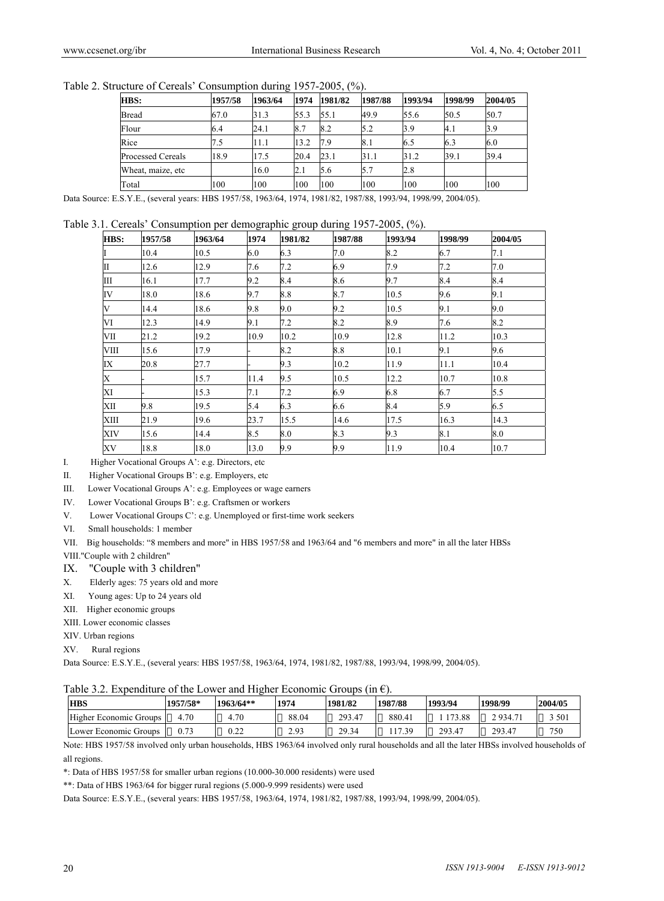| HBS:                     | 1957/58 | 1963/64 | 1974 | 1981/82 | 1987/88 | 1993/94 | 1998/99 | 2004/05 |
|--------------------------|---------|---------|------|---------|---------|---------|---------|---------|
| Bread                    | 67.0    | 31.3    | 55.3 | 55.1    | 49.9    | 55.6    | 50.5    | 50.7    |
| Flour                    | 6.4     | 24.1    | 8.7  | 8.2     | 5.2     | B.9     | 4.1     | 3.9     |
| Rice                     | 7.5     | 11.1    | 13.2 | 7.9     | 8.1     | 6.5     | 6.3     | 6.0     |
| <b>Processed Cereals</b> | 18.9    | 17.5    | 20.4 | 23.1    | 31.1    | 31.2    | 39.1    | 39.4    |
| Wheat, maize, etc        |         | 16.0    | 2.1  | 5.6     | 5.7     | 2.8     |         |         |
| Total                    | 100     | 100     | 100  | 100     | 100     | 100     | 100     | 100     |

Data Source: E.S.Y.E., (several years: HBS 1957/58, 1963/64, 1974, 1981/82, 1987/88, 1993/94, 1998/99, 2004/05).

#### Table 3.1. Cereals' Consumption per demographic group during 1957-2005, (%).

| HBS: | 1957/58 | 1963/64 | 1974 | 1981/82 | 1987/88 | 1993/94 | 1998/99 | 2004/05 |
|------|---------|---------|------|---------|---------|---------|---------|---------|
| I    | 10.4    | 10.5    | 6.0  | 6.3     | 7.0     | 8.2     | 6.7     | 7.1     |
| П    | 12.6    | 12.9    | 7.6  | 7.2     | 6.9     | 7.9     | 7.2     | 7.0     |
| Ш    | 16.1    | 17.7    | 9.2  | 8.4     | 8.6     | 9.7     | 8.4     | 8.4     |
| IV   | 18.0    | 18.6    | 9.7  | 8.8     | 8.7     | 10.5    | 9.6     | 9.1     |
| V    | 14.4    | 18.6    | 9.8  | 9.0     | 9.2     | 10.5    | 9.1     | 9.0     |
| VI   | 12.3    | 14.9    | 9.1  | 7.2     | 8.2     | 8.9     | 7.6     | 8.2     |
| VII  | 21.2    | 19.2    | 10.9 | 10.2    | 10.9    | 12.8    | 11.2    | 10.3    |
| VIII | 15.6    | 17.9    |      | 8.2     | 8.8     | 10.1    | 9.1     | 9.6     |
| IX   | 20.8    | 27.7    |      | 9.3     | 10.2    | 11.9    | 11.1    | 10.4    |
| X    |         | 15.7    | 11.4 | 9.5     | 10.5    | 12.2    | 10.7    | 10.8    |
| XI   |         | 15.3    | 7.1  | 7.2     | 6.9     | 6.8     | 6.7     | 5.5     |
| XII  | 9.8     | 19.5    | 5.4  | 6.3     | 6.6     | 8.4     | 5.9     | 6.5     |
| XIII | 21.9    | 19.6    | 23.7 | 15.5    | 14.6    | 17.5    | 16.3    | 14.3    |
| XIV  | 15.6    | 14.4    | 8.5  | $8.0\,$ | 8.3     | 9.3     | 8.1     | 8.0     |
| XV   | 18.8    | 18.0    | 13.0 | 9.9     | 9.9     | 11.9    | 10.4    | 10.7    |

I. Higher Vocational Groups A': e.g. Directors, etc

II. Higher Vocational Groups B': e.g. Employers, etc

III. Lower Vocational Groups A': e.g. Employees or wage earners

IV. Lower Vocational Groups B': e.g. Craftsmen or workers

V. Lower Vocational Groups C': e.g. Unemployed or first-time work seekers

VI. Small households: 1 member

VII. Big households: "8 members and more" in HBS 1957/58 and 1963/64 and "6 members and more" in all the later HBSs

VIII."Couple with 2 children"

- IX. "Couple with 3 children"
- X. Elderly ages: 75 years old and more
- XI. Young ages: Up to 24 years old
- XII. Higher economic groups

XIII. Lower economic classes

XIV. Urban regions

XV. Rural regions

Data Source: E.S.Y.E., (several years: HBS 1957/58, 1963/64, 1974, 1981/82, 1987/88, 1993/94, 1998/99, 2004/05).

|  | Table 3.2. Expenditure of the Lower and Higher Economic Groups (in $\epsilon$ ). |  |  |
|--|----------------------------------------------------------------------------------|--|--|
|  |                                                                                  |  |  |

| Tuble $\mathcal{I}$ . Experience of the EUWE and Higher ECOnomic Groups (in $\mathcal{O}_L$ ). |          |             |       |         |         |         |          |         |  |  |  |  |
|------------------------------------------------------------------------------------------------|----------|-------------|-------|---------|---------|---------|----------|---------|--|--|--|--|
| <b>HBS</b>                                                                                     | 1957/58* | $1963/64**$ | 1974  | 1981/82 | 1987/88 | 1993/94 | 1998/99  | 2004/05 |  |  |  |  |
| Higher Economic Groups                                                                         | 4.70     | 4.70        | 88.04 | 293.47  | 880.41  | 173.88  | 2 934.71 | 3 501   |  |  |  |  |
| Lower Economic Groups                                                                          |          | 0.22        | 2.93  | 29.34   | 17.39   | 293.47  | 293.47   | 750     |  |  |  |  |

Note: HBS 1957/58 involved only urban households, HBS 1963/64 involved only rural households and all the later HBSs involved households of all regions.

\*: Data of HBS 1957/58 for smaller urban regions (10.000-30.000 residents) were used

\*\*: Data of HBS 1963/64 for bigger rural regions (5.000-9.999 residents) were used

Data Source: E.S.Y.E., (several years: HBS 1957/58, 1963/64, 1974, 1981/82, 1987/88, 1993/94, 1998/99, 2004/05).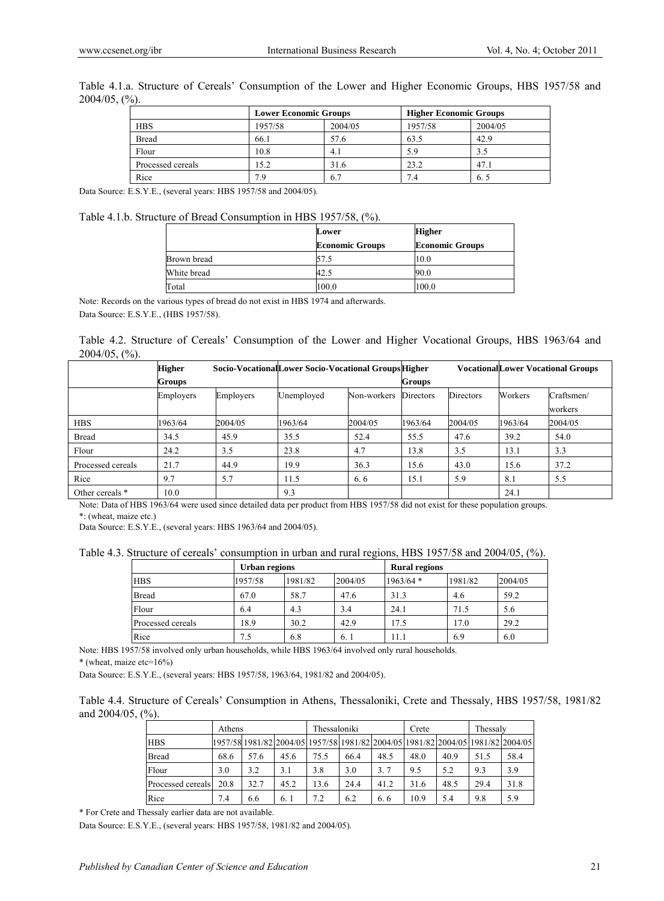|                   | <b>Lower Economic Groups</b> |         | <b>Higher Economic Groups</b> |         |  |
|-------------------|------------------------------|---------|-------------------------------|---------|--|
| <b>HBS</b>        | 1957/58                      | 2004/05 | 1957/58                       | 2004/05 |  |
| <b>Bread</b>      | 66.1                         | 57.6    | 63.5                          | 42.9    |  |
| Flour             | 10.8                         | 4.1     | 5.9                           | 3.5     |  |
| Processed cereals | 15.2                         | 31.6    | 23.2                          | 47.1    |  |
| Rice              | 7.9                          | 6.7     | 7.4                           | 6.5     |  |

Table 4.1.a. Structure of Cereals' Consumption of the Lower and Higher Economic Groups, HBS 1957/58 and 2004/05, (%).

Data Source: E.S.Y.E., (several years: HBS 1957/58 and 2004/05).

#### Table 4.1.b. Structure of Bread Consumption in HBS 1957/58, (%).

|             | Lower                  | <b>Higher</b>          |
|-------------|------------------------|------------------------|
|             | <b>Economic Groups</b> | <b>Economic Groups</b> |
| Brown bread |                        | 10.0                   |
| White bread | 42.5                   | 90.0                   |
| Total       | 100.0                  | 100.0                  |

Note: Records on the various types of bread do not exist in HBS 1974 and afterwards. Data Source: E.S.Y.E., (HBS 1957/58).

|                             |  | Table 4.2. Structure of Cereals' Consumption of the Lower and Higher Vocational Groups, HBS 1963/64 and |  |  |  |  |  |
|-----------------------------|--|---------------------------------------------------------------------------------------------------------|--|--|--|--|--|
| $2004/05,$ $\binom{0}{0}$ . |  |                                                                                                         |  |  |  |  |  |

|                   | <b>Higher</b> |           |            | Socio-VocationalLower Socio-Vocational GroupsHigher |           |                  |         | <b>VocationalLower Vocational Groups</b> |
|-------------------|---------------|-----------|------------|-----------------------------------------------------|-----------|------------------|---------|------------------------------------------|
|                   | Groups        |           |            |                                                     |           | Groups           |         |                                          |
|                   | Employers     | Employers | Unemployed | Non-workers                                         | Directors | <b>Directors</b> | Workers | Craftsmen/<br>workers                    |
| <b>HBS</b>        | 1963/64       | 2004/05   | 1963/64    | 2004/05                                             | 1963/64   | 2004/05          | 1963/64 | 2004/05                                  |
| <b>Bread</b>      | 34.5          | 45.9      | 35.5       | 52.4                                                | 55.5      | 47.6             | 39.2    | 54.0                                     |
| Flour             | 24.2          | 3.5       | 23.8       | 4.7                                                 | 13.8      | 3.5              | 13.1    | 3.3                                      |
| Processed cereals | 21.7          | 44.9      | 19.9       | 36.3                                                | 15.6      | 43.0             | 15.6    | 37.2                                     |
| Rice              | 9.7           | 5.7       | 11.5       | 6.6                                                 | 15.1      | 5.9              | 8.1     | 5.5                                      |
| Other cereals *   | 10.0          |           | 9.3        |                                                     |           |                  | 24.1    |                                          |

Note: Data of HBS 1963/64 were used since detailed data per product from HBS 1957/58 did not exist for these population groups. \*: (wheat, maize etc.)

Data Source: E.S.Y.E., (several years: HBS 1963/64 and 2004/05).

Table 4.3. Structure of cereals' consumption in urban and rural regions, HBS 1957/58 and 2004/05, (%).

|                   | Urban regions |         |         |             | <b>Rural regions</b> |         |  |  |
|-------------------|---------------|---------|---------|-------------|----------------------|---------|--|--|
| <b>HBS</b>        | 1957/58       | 1981/82 | 2004/05 | $1963/64$ * | 1981/82              | 2004/05 |  |  |
| <b>Bread</b>      | 67.0          | 58.7    | 47.6    | 31.3        | 4.6                  | 59.2    |  |  |
| Flour             | 6.4           | 4.3     | 3.4     | 24.1        | 71.5                 | 5.6     |  |  |
| Processed cereals | 8.9           | 30.2    | 42.9    | 17.5        | 17.0                 | 29.2    |  |  |
| Rice              | 7.5           | 6.8     | 6.1     | 11.1        | 6.9                  | 6.0     |  |  |

Note: HBS 1957/58 involved only urban households, while HBS 1963/64 involved only rural households. \* (wheat, maize etc=16%)

Data Source: E.S.Y.E., (several years: HBS 1957/58, 1963/64, 1981/82 and 2004/05).

Table 4.4. Structure of Cereals' Consumption in Athens, Thessaloniki, Crete and Thessaly, HBS 1957/58, 1981/82 and 2004/05, (%).

|                   | Athens |      |                                                                                 | Thessaloniki |      |      | Crete |      | Thessaly |      |
|-------------------|--------|------|---------------------------------------------------------------------------------|--------------|------|------|-------|------|----------|------|
| <b>HBS</b>        |        |      | 1957/58 1981/82 2004/05 1957/58 1981/82 2004/05 1981/82 2004/05 1981/82 2004/05 |              |      |      |       |      |          |      |
| <b>Bread</b>      | 68.6   | 57.6 | 45.6                                                                            | 75.5         | 66.4 | 48.5 | 48.0  | 40.9 | 51.5     | 58.4 |
| Flour             | 3.0    | 3.2  | 3.1                                                                             | 3.8          | 3.0  | 3.7  | 9.5   | 5.2  | 9.3      | 3.9  |
| Processed cereals | 20.8   | 32.7 | 45.2                                                                            | 13.6         | 24.4 | 41.2 | 31.6  | 48.5 | 29.4     | 31.8 |
| Rice              | 7.4    | 6.6  | 6.1                                                                             | 7.2          | 6.2  | 6.6  | 10.9  | 5.4  | 9.8      | 5.9  |

\* For Crete and Thessaly earlier data are not available.

Data Source: E.S.Y.E., (several years: HBS 1957/58, 1981/82 and 2004/05).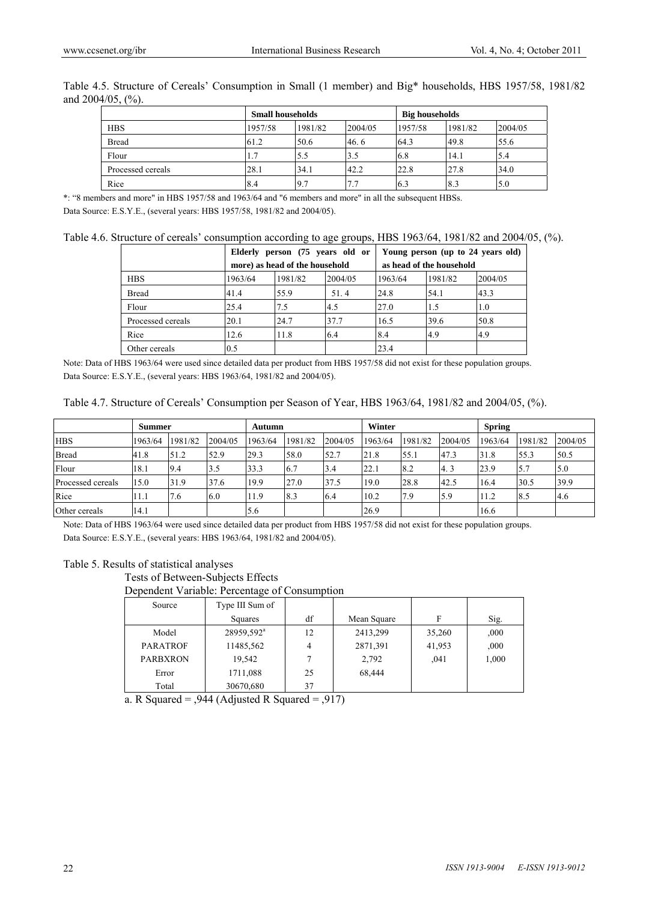|                   | <b>Small households</b> |         |         | <b>Big households</b> |         |         |  |
|-------------------|-------------------------|---------|---------|-----------------------|---------|---------|--|
| <b>HBS</b>        | 1957/58                 | 1981/82 | 2004/05 | 1957/58               | 1981/82 | 2004/05 |  |
| <b>Bread</b>      | 61.2                    | 50.6    | 46.6    | 64.3                  | 49.8    | 55.6    |  |
| Flour             | $\mathbf{\tau}$<br>1. . | 5.5     | 3.5     | 6.8                   | 14.1    | 5.4     |  |
| Processed cereals | 28.1                    | 34.1    | 42.2    | 22.8                  | 27.8    | 34.0    |  |
| Rice              | 8.4                     | 9.7     | 7.7     | 6.3                   | 8.3     | 5.0     |  |

Table 4.5. Structure of Cereals' Consumption in Small (1 member) and Big\* households, HBS 1957/58, 1981/82 and 2004/05, (%).

\*: "8 members and more" in HBS 1957/58 and 1963/64 and "6 members and more" in all the subsequent HBSs. Data Source: E.S.Y.E., (several years: HBS 1957/58, 1981/82 and 2004/05).

Table 4.6. Structure of cereals' consumption according to age groups, HBS 1963/64, 1981/82 and 2004/05, (%).

|                   |                                                            | Elderly person (75 years old or |         |         | Young person (up to 24 years old) |         |
|-------------------|------------------------------------------------------------|---------------------------------|---------|---------|-----------------------------------|---------|
|                   | more) as head of the household<br>as head of the household |                                 |         |         |                                   |         |
| <b>HBS</b>        | 1963/64                                                    | 1981/82                         | 2004/05 | 1963/64 | 1981/82                           | 2004/05 |
| <b>Bread</b>      | 41.4                                                       | 55.9                            | 51.4    | 24.8    | 54.1                              | 43.3    |
| Flour             | 25.4                                                       | 7.5                             | 4.5     | 27.0    | 1.5                               | 1.0     |
| Processed cereals | 20.1                                                       | 24.7                            | 37.7    | 16.5    | 39.6                              | 50.8    |
| Rice              | 12.6                                                       | 11.8                            | 6.4     | 8.4     | 4.9                               | 4.9     |
| Other cereals     | 0.5                                                        |                                 |         | 23.4    |                                   |         |

Note: Data of HBS 1963/64 were used since detailed data per product from HBS 1957/58 did not exist for these population groups. Data Source: E.S.Y.E., (several years: HBS 1963/64, 1981/82 and 2004/05).

| Table 4.7. Structure of Cereals' Consumption per Season of Year, HBS 1963/64, 1981/82 and 2004/05, (%). |  |  |
|---------------------------------------------------------------------------------------------------------|--|--|
|                                                                                                         |  |  |

|                   | Summer  |         |         | Autumn  |         |         | Winter  |         |         | <b>Spring</b> |         |         |
|-------------------|---------|---------|---------|---------|---------|---------|---------|---------|---------|---------------|---------|---------|
| <b>HBS</b>        | 1963/64 | 1981/82 | 2004/05 | 1963/64 | 1981/82 | 2004/05 | 1963/64 | 1981/82 | 2004/05 | 1963/64       | 1981/82 | 2004/05 |
| <b>Bread</b>      | 41.8    | 51.2    | 52.9    | 29.3    | 58.0    | 52.7    | 21.8    | 55.1    | 47.3    | 31.8          | 55.3    | 50.5    |
| Flour             | 18.1    | 9.4     | 3.5     | 33.3    | 6.7     | 3.4     | 22.1    | 8.2     | 4.3     | 23.9          | 15.7    | 5.0     |
| Processed cereals | 15.0    | 31.9    | 37.6    | 19.9    | 27.0    | 37.5    | 19.0    | 28.8    | 42.5    | 16.4          | 30.5    | 39.9    |
| Rice              | 11.1    | 7.6     | 6.0     | 11.9    | 8.3     | 6.4     | 10.2    | 7.9     | 5.9     | 11.2          | 8.5     | 4.6     |
| Other cereals     | 14.1    |         |         | 5.6     |         |         | 26.9    |         |         | 16.6          |         |         |

Note: Data of HBS 1963/64 were used since detailed data per product from HBS 1957/58 did not exist for these population groups. Data Source: E.S.Y.E., (several years: HBS 1963/64, 1981/82 and 2004/05).

#### Table 5. Results of statistical analyses

Tests of Between-Subjects Effects

Dependent Variable: Percentage of Consumption

| Source          | Type III Sum of        |    |             |        |       |
|-----------------|------------------------|----|-------------|--------|-------|
|                 | Squares                | df | Mean Square | F      | Sig.  |
| Model           | 28959,592 <sup>a</sup> | 12 | 2413,299    | 35,260 | .000  |
| <b>PARATROF</b> | 11485,562              | 4  | 2871,391    | 41,953 | ,000  |
| <b>PARBXRON</b> | 19.542                 |    | 2,792       | .041   | 1,000 |
| Error           | 1711,088               | 25 | 68,444      |        |       |
| Total           | 30670,680              | 37 |             |        |       |

a. R Squared =  $,944$  (Adjusted R Squared =  $,917$ )